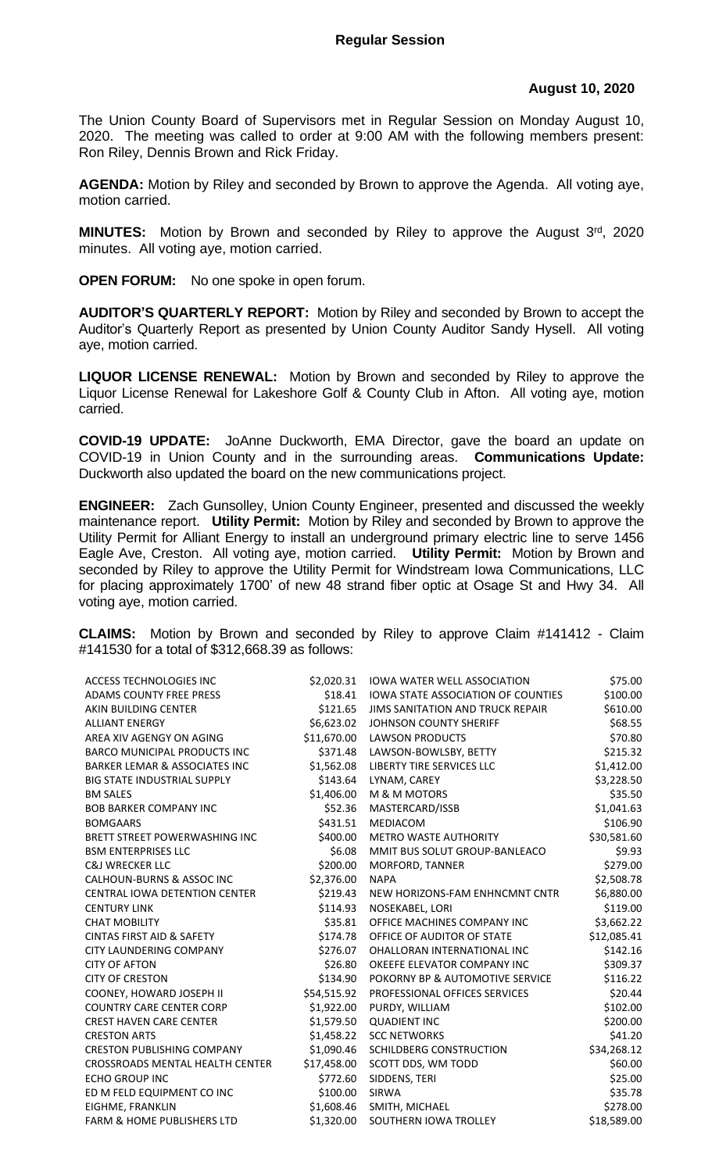## **August 10, 2020**

The Union County Board of Supervisors met in Regular Session on Monday August 10, 2020. The meeting was called to order at 9:00 AM with the following members present: Ron Riley, Dennis Brown and Rick Friday.

**AGENDA:** Motion by Riley and seconded by Brown to approve the Agenda. All voting aye, motion carried.

**MINUTES:** Motion by Brown and seconded by Riley to approve the August 3<sup>rd</sup>, 2020 minutes. All voting aye, motion carried.

**OPEN FORUM:** No one spoke in open forum.

**AUDITOR'S QUARTERLY REPORT:** Motion by Riley and seconded by Brown to accept the Auditor's Quarterly Report as presented by Union County Auditor Sandy Hysell. All voting aye, motion carried.

**LIQUOR LICENSE RENEWAL:** Motion by Brown and seconded by Riley to approve the Liquor License Renewal for Lakeshore Golf & County Club in Afton. All voting aye, motion carried.

**COVID-19 UPDATE:** JoAnne Duckworth, EMA Director, gave the board an update on COVID-19 in Union County and in the surrounding areas. **Communications Update:**  Duckworth also updated the board on the new communications project.

**ENGINEER:** Zach Gunsolley, Union County Engineer, presented and discussed the weekly maintenance report. **Utility Permit:** Motion by Riley and seconded by Brown to approve the Utility Permit for Alliant Energy to install an underground primary electric line to serve 1456 Eagle Ave, Creston. All voting aye, motion carried. **Utility Permit:** Motion by Brown and seconded by Riley to approve the Utility Permit for Windstream Iowa Communications, LLC for placing approximately 1700' of new 48 strand fiber optic at Osage St and Hwy 34. All voting aye, motion carried.

**CLAIMS:** Motion by Brown and seconded by Riley to approve Claim #141412 - Claim #141530 for a total of \$312,668.39 as follows:

| ACCESS TECHNOLOGIES INC                  | \$2,020.31  | <b>IOWA WATER WELL ASSOCIATION</b>        | \$75.00     |
|------------------------------------------|-------------|-------------------------------------------|-------------|
| ADAMS COUNTY FREE PRESS                  | \$18.41     | <b>IOWA STATE ASSOCIATION OF COUNTIES</b> | \$100.00    |
| AKIN BUILDING CENTER                     | \$121.65    | <b>JIMS SANITATION AND TRUCK REPAIR</b>   | \$610.00    |
| <b>ALLIANT ENERGY</b>                    | \$6,623.02  | JOHNSON COUNTY SHERIFF                    | \$68.55     |
| AREA XIV AGENGY ON AGING                 | \$11,670.00 | <b>LAWSON PRODUCTS</b>                    | \$70.80     |
| <b>BARCO MUNICIPAL PRODUCTS INC</b>      | \$371.48    | LAWSON-BOWLSBY, BETTY                     | \$215.32    |
| <b>BARKER LEMAR &amp; ASSOCIATES INC</b> | \$1,562.08  | LIBERTY TIRE SERVICES LLC                 | \$1,412.00  |
| <b>BIG STATE INDUSTRIAL SUPPLY</b>       | \$143.64    | LYNAM, CAREY                              | \$3,228.50  |
| <b>BM SALES</b>                          | \$1,406.00  | M & M MOTORS                              | \$35.50     |
| <b>BOB BARKER COMPANY INC</b>            | \$52.36     | MASTERCARD/ISSB                           | \$1,041.63  |
| <b>BOMGAARS</b>                          | \$431.51    | <b>MEDIACOM</b>                           | \$106.90    |
| BRETT STREET POWERWASHING INC            | \$400.00    | <b>METRO WASTE AUTHORITY</b>              | \$30,581.60 |
| <b>BSM ENTERPRISES LLC</b>               | \$6.08      | MMIT BUS SOLUT GROUP-BANLEACO             | \$9.93      |
| <b>C&amp;J WRECKER LLC</b>               | \$200.00    | MORFORD, TANNER                           | \$279.00    |
| <b>CALHOUN-BURNS &amp; ASSOC INC</b>     | \$2,376.00  | <b>NAPA</b>                               | \$2,508.78  |
| CENTRAL IOWA DETENTION CENTER            | \$219.43    | NEW HORIZONS-FAM ENHNCMNT CNTR            | \$6,880.00  |
| <b>CENTURY LINK</b>                      | \$114.93    | NOSEKABEL, LORI                           | \$119.00    |
| <b>CHAT MOBILITY</b>                     | \$35.81     | OFFICE MACHINES COMPANY INC               | \$3,662.22  |
| <b>CINTAS FIRST AID &amp; SAFETY</b>     | \$174.78    | OFFICE OF AUDITOR OF STATE                | \$12,085.41 |
| CITY LAUNDERING COMPANY                  | \$276.07    | OHALLORAN INTERNATIONAL INC               | \$142.16    |
| <b>CITY OF AFTON</b>                     | \$26.80     | OKEEFE ELEVATOR COMPANY INC               | \$309.37    |
| <b>CITY OF CRESTON</b>                   | \$134.90    | POKORNY BP & AUTOMOTIVE SERVICE           | \$116.22    |
| COONEY, HOWARD JOSEPH II                 | \$54,515.92 | PROFESSIONAL OFFICES SERVICES             | \$20.44     |
| <b>COUNTRY CARE CENTER CORP</b>          | \$1,922.00  | PURDY, WILLIAM                            | \$102.00    |
| <b>CREST HAVEN CARE CENTER</b>           | \$1,579.50  | <b>QUADIENT INC</b>                       | \$200.00    |
| <b>CRESTON ARTS</b>                      | \$1,458.22  | <b>SCC NETWORKS</b>                       | \$41.20     |
| <b>CRESTON PUBLISHING COMPANY</b>        | \$1,090.46  | SCHILDBERG CONSTRUCTION                   | \$34,268.12 |
| CROSSROADS MENTAL HEALTH CENTER          | \$17,458.00 | SCOTT DDS, WM TODD                        | \$60.00     |
| <b>ECHO GROUP INC</b>                    | \$772.60    | SIDDENS, TERI                             | \$25.00     |
| ED M FELD EQUIPMENT CO INC               | \$100.00    | <b>SIRWA</b>                              | \$35.78     |
| EIGHME, FRANKLIN                         | \$1,608.46  | SMITH, MICHAEL                            | \$278.00    |
| <b>FARM &amp; HOME PUBLISHERS LTD</b>    | \$1,320.00  | SOUTHERN IOWA TROLLEY                     | \$18,589.00 |